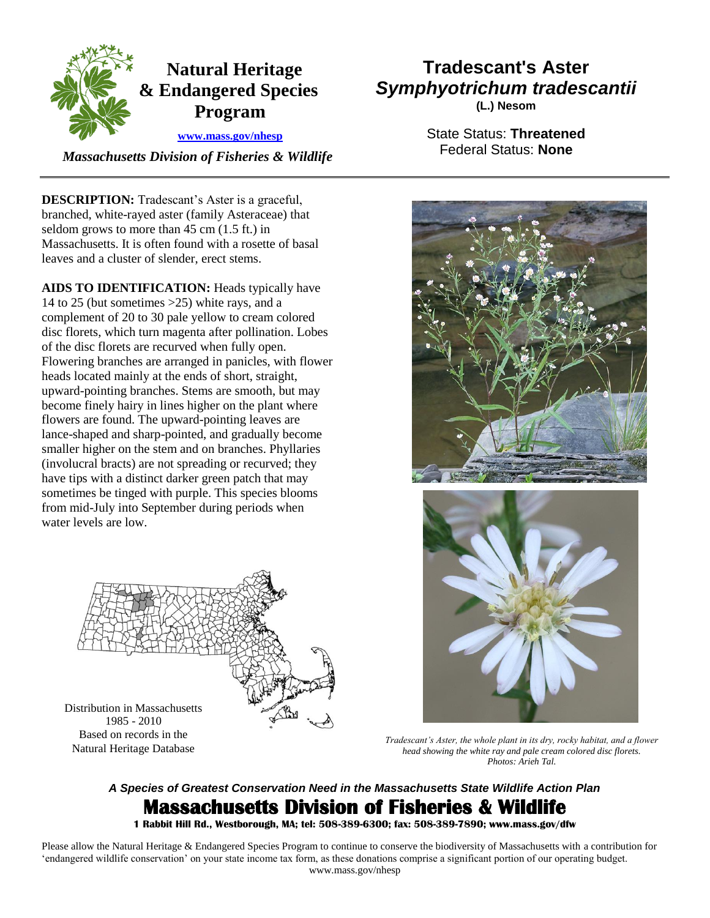

 *Massachusetts Division of Fisheries & Wildlife* 

**DESCRIPTION:** Tradescant's Aster is a graceful, branched, white-rayed aster (family Asteraceae) that seldom grows to more than 45 cm (1.5 ft.) in Massachusetts. It is often found with a rosette of basal leaves and a cluster of slender, erect stems.

 **AIDS TO IDENTIFICATION:** Heads typically have (involucral bracts) are not spreading or recurved; they 14 to 25 (but sometimes >25) white rays, and a complement of 20 to 30 pale yellow to cream colored disc florets, which turn magenta after pollination. Lobes of the disc florets are recurved when fully open. Flowering branches are arranged in panicles, with flower heads located mainly at the ends of short, straight, upward-pointing branches. Stems are smooth, but may become finely hairy in lines higher on the plant where flowers are found. The upward-pointing leaves are lance-shaped and sharp-pointed, and gradually become smaller higher on the stem and on branches. Phyllaries have tips with a distinct darker green patch that may sometimes be tinged with purple. This species blooms from mid-July into September during periods when water levels are low.

Distribution in Massachusetts

1985 - 2010

Based on records in the

Natural Heritage Database

## **Tradescant's Aster**  *Symphyotrichum tradescantii*

**(L.) Nesom** 

State Status: **Threatened**  Federal Status: **None** 





*Tradescant's Aster, the whole plant in its dry, rocky habitat, and a flower head showing the white ray and pale cream colored disc florets. Photos: Arieh Tal.*

## *A Species of Greatest Conservation Need in the Massachusetts State Wildlife Action Plan*  **Massachusetts Division of Fisheries & Wildlife**

 **1 Rabbit Hill Rd., Westborough, MA; tel: 508-389-6300; fax: 508-389-7890; www.mass.gov/dfw** 

 Please allow the Natural Heritage & Endangered Species Program to continue to conserve the biodiversity of Massachusetts with a contribution for 'endangered wildlife conservation' on your state income tax form, as these donations comprise a significant portion of our operating budget. www.mass.gov/nhesp